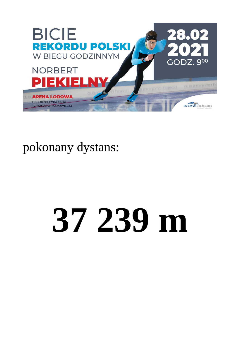

pokonany dystans:

# **37 239 m**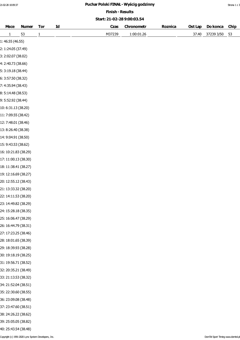# 21-02-28 10:09:37 **Puchar Polski FINAŁ - Wyścig godzinny Puchar Polski FINAŁ - Wyścig godzinny** Strona 1 z 3

Finish - Results

### Start: 21-02-28 9:00:03.54

| <b>Msce</b>          | <b>Numer</b> | <b>Tor</b>   | Id | Czas   | Chronometr | Roznica | Ost Lap | Do konca   | <b>Chip</b> |
|----------------------|--------------|--------------|----|--------|------------|---------|---------|------------|-------------|
| $\mathbf{1}$         | 53           | $\mathbf{1}$ |    | M37239 | 1:00:01.26 |         | 37.40   | 37239 3/50 | 53          |
| 1: 46.55 (46.55)     |              |              |    |        |            |         |         |            |             |
| 2: 1:24.05 (37.49)   |              |              |    |        |            |         |         |            |             |
| 3: 2:02.07 (38.02)   |              |              |    |        |            |         |         |            |             |
| 4: 2:40.73 (38.66)   |              |              |    |        |            |         |         |            |             |
| 5: 3:19.18 (38.44)   |              |              |    |        |            |         |         |            |             |
| 6: 3:57.50 (38.32)   |              |              |    |        |            |         |         |            |             |
| 7: 4:35.94 (38.43)   |              |              |    |        |            |         |         |            |             |
| 8: 5:14.48 (38.53)   |              |              |    |        |            |         |         |            |             |
| 9: 5:52.92 (38.44)   |              |              |    |        |            |         |         |            |             |
| 10: 6:31.13 (38.20)  |              |              |    |        |            |         |         |            |             |
| 11: 7:09.55 (38.42)  |              |              |    |        |            |         |         |            |             |
| 12: 7:48.01 (38.46)  |              |              |    |        |            |         |         |            |             |
| 13: 8:26.40 (38.38)  |              |              |    |        |            |         |         |            |             |
| 14: 9:04.91 (38.50)  |              |              |    |        |            |         |         |            |             |
| 15: 9:43.53 (38.62)  |              |              |    |        |            |         |         |            |             |
| 16: 10:21.83 (38.29) |              |              |    |        |            |         |         |            |             |
| 17: 11:00.13 (38.30) |              |              |    |        |            |         |         |            |             |
| 18: 11:38.41 (38.27) |              |              |    |        |            |         |         |            |             |
| 19: 12:16.69 (38.27) |              |              |    |        |            |         |         |            |             |
| 20: 12:55.12 (38.43) |              |              |    |        |            |         |         |            |             |
| 21: 13:33.32 (38.20) |              |              |    |        |            |         |         |            |             |
| 22: 14:11.53 (38.20) |              |              |    |        |            |         |         |            |             |
| 23: 14:49.82 (38.29) |              |              |    |        |            |         |         |            |             |
| 24: 15:28.18 (38.35) |              |              |    |        |            |         |         |            |             |
| 25: 16:06.47 (38.29) |              |              |    |        |            |         |         |            |             |
| 26: 16:44.79 (38.31) |              |              |    |        |            |         |         |            |             |
| 27: 17:23.25 (38.46) |              |              |    |        |            |         |         |            |             |
| 28: 18:01.65 (38.39) |              |              |    |        |            |         |         |            |             |
| 29: 18:39.93 (38.28) |              |              |    |        |            |         |         |            |             |
| 30: 19:18.19 (38.25) |              |              |    |        |            |         |         |            |             |
| 31: 19:56.71 (38.52) |              |              |    |        |            |         |         |            |             |
| 32: 20:35.21 (38.49) |              |              |    |        |            |         |         |            |             |
| 33: 21:13.53 (38.32) |              |              |    |        |            |         |         |            |             |
| 34: 21:52.04 (38.51) |              |              |    |        |            |         |         |            |             |
| 35: 22:30.60 (38.55) |              |              |    |        |            |         |         |            |             |
| 36: 23:09.08 (38.48) |              |              |    |        |            |         |         |            |             |
| 37: 23:47.60 (38.51) |              |              |    |        |            |         |         |            |             |
| 38: 24:26.22 (38.62) |              |              |    |        |            |         |         |            |             |
| 39: 25:05.05 (38.82) |              |              |    |        |            |         |         |            |             |
| 40: 25:43.54 (38.48) |              |              |    |        |            |         |         |            |             |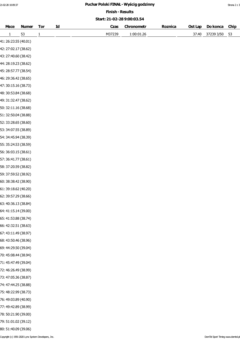# 21-02-28 10:09:37 **Puchar Polski FINAŁ - Wyścig godzinny Puchar Polski FINAŁ - Wyścig godzinny** Strona 2 z 3

Finish - Results

### Start: 21-02-28 9:00:03.54

| <b>Msce</b>          | <b>Numer</b> | <b>Tor</b>   | Id | Czas   | Chronometr | <b>Roznica</b> | Ost Lap | Do konca   | <b>Chip</b> |  |
|----------------------|--------------|--------------|----|--------|------------|----------------|---------|------------|-------------|--|
| $\mathbf{1}$         | 53           | $\mathbf{1}$ |    | M37239 | 1:00:01.26 |                | 37.40   | 37239 3/50 | 53          |  |
| 41: 26:23.55 (40.01) |              |              |    |        |            |                |         |            |             |  |
| 42: 27:02.17 (38.62) |              |              |    |        |            |                |         |            |             |  |
| 43: 27:40.60 (38.42) |              |              |    |        |            |                |         |            |             |  |
| 44: 28:19.23 (38.62) |              |              |    |        |            |                |         |            |             |  |
| 45: 28:57.77 (38.54) |              |              |    |        |            |                |         |            |             |  |
| 46: 29:36.42 (38.65) |              |              |    |        |            |                |         |            |             |  |
| 47: 30:15.16 (38.73) |              |              |    |        |            |                |         |            |             |  |
| 48: 30:53.84 (38.68) |              |              |    |        |            |                |         |            |             |  |
| 49: 31:32.47 (38.62) |              |              |    |        |            |                |         |            |             |  |
| 50: 32:11.16 (38.68) |              |              |    |        |            |                |         |            |             |  |
| 51: 32:50.04 (38.88) |              |              |    |        |            |                |         |            |             |  |
| 52: 33:28.65 (38.60) |              |              |    |        |            |                |         |            |             |  |
| 53: 34:07.55 (38.89) |              |              |    |        |            |                |         |            |             |  |
| 54: 34:45.94 (38.39) |              |              |    |        |            |                |         |            |             |  |
| 55: 35:24.53 (38.59) |              |              |    |        |            |                |         |            |             |  |
| 56: 36:03.15 (38.61) |              |              |    |        |            |                |         |            |             |  |
| 57: 36:41.77 (38.61) |              |              |    |        |            |                |         |            |             |  |
| 58: 37:20.59 (38.82) |              |              |    |        |            |                |         |            |             |  |
| 59: 37:59.52 (38.92) |              |              |    |        |            |                |         |            |             |  |
| 60: 38:38.42 (38.90) |              |              |    |        |            |                |         |            |             |  |
| 61: 39:18.62 (40.20) |              |              |    |        |            |                |         |            |             |  |
| 62: 39:57.29 (38.66) |              |              |    |        |            |                |         |            |             |  |
| 63: 40:36.13 (38.84) |              |              |    |        |            |                |         |            |             |  |
| 64: 41:15.14 (39.00) |              |              |    |        |            |                |         |            |             |  |
| 65: 41:53.88 (38.74) |              |              |    |        |            |                |         |            |             |  |
| 66: 42:32.51 (38.63) |              |              |    |        |            |                |         |            |             |  |
| 67: 43:11.49 (38.97) |              |              |    |        |            |                |         |            |             |  |
| 68: 43:50.46 (38.96) |              |              |    |        |            |                |         |            |             |  |
| 69: 44:29.50 (39.04) |              |              |    |        |            |                |         |            |             |  |
| 70: 45:08.44 (38.94) |              |              |    |        |            |                |         |            |             |  |
| 71: 45:47.49 (39.04) |              |              |    |        |            |                |         |            |             |  |
| 72: 46:26.49 (38.99) |              |              |    |        |            |                |         |            |             |  |
| 73: 47:05.36 (38.87) |              |              |    |        |            |                |         |            |             |  |
| 74: 47:44.25 (38.88) |              |              |    |        |            |                |         |            |             |  |
| 75: 48:22.99 (38.73) |              |              |    |        |            |                |         |            |             |  |
| 76: 49:03.89 (40.90) |              |              |    |        |            |                |         |            |             |  |
| 77: 49:42.89 (38.99) |              |              |    |        |            |                |         |            |             |  |
| 78: 50:21.90 (39.00) |              |              |    |        |            |                |         |            |             |  |
| 79: 51:01.02 (39.12) |              |              |    |        |            |                |         |            |             |  |
| 80: 51:40.09 (39.06) |              |              |    |        |            |                |         |            |             |  |